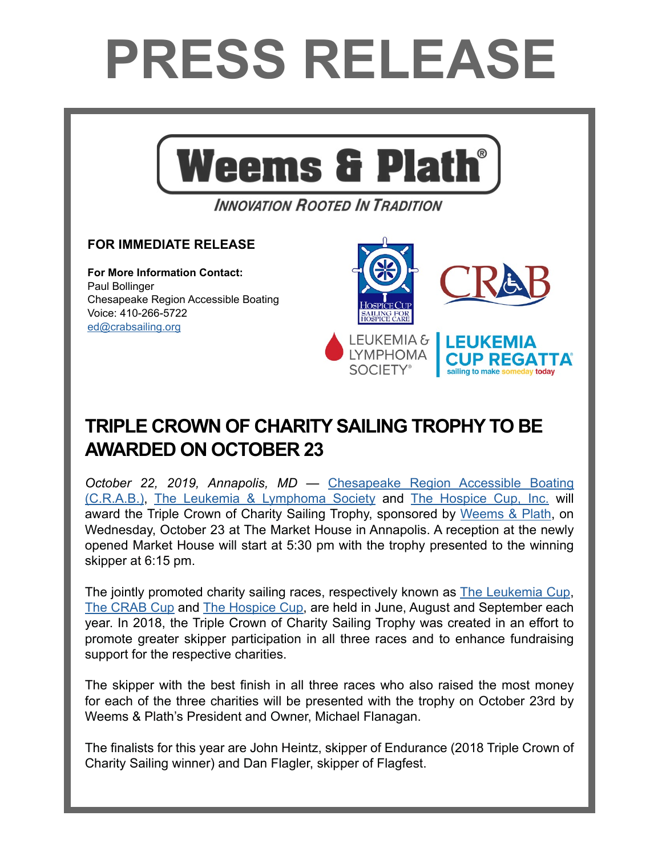## **PRESS RELEASE**



**INNOVATION ROOTED IN TRADITION** 

## **FOR IMMEDIATE RELEASE**

**For More Information Contact:**  Paul Bollinger Chesapeake Region Accessible Boating Voice: 410-266-5722 e[d@](mailto:kgahs%40weems-plath.com?subject=Regarding%20Press%20Release)crabsailing.org



## **TRIPLE CROWN OF CHARITY SAILING TROPHY TO BE AWARDED ON OCTOBER 23**

*October 22, 2019, Annapolis, MD* — [Chesapeake Region Accessible Boating](https://crabsailing.org/)  [\(C.R.A.B.\)](https://crabsailing.org/), [The Leukemia & Lymphoma Society](https://www.lls.org/) and [The Hospice Cup, Inc.](https://www.hospicecup.org/) will award the Triple Crown of Charity Sailing Trophy, sponsored by [Weems & Plath](http://www.weems-plath.com), on Wednesday, October 23 at The Market House in Annapolis. A reception at the newly opened Market House will start at 5:30 pm with the trophy presented to the winning skipper at 6:15 pm.

The jointly promoted charity sailing races, respectively known as [The Leukemia Cup,](http://www.weems-plath.com) [The CRAB Cup](https://crabsailing.org/fw-event-slug/crab-cup/) and [The Hospice Cup,](https://www.hospicecup.org) are held in June, August and September each year. In 2018, the Triple Crown of Charity Sailing Trophy was created in an effort to promote greater skipper participation in all three races and to enhance fundraising support for the respective charities.

The skipper with the best finish in all three races who also raised the most money for each of the three charities will be presented with the trophy on October 23rd by Weems & Plath's President and Owner, Michael Flanagan.

The finalists for this year are John Heintz, skipper of Endurance (2018 Triple Crown of Charity Sailing winner) and Dan Flagler, skipper of Flagfest.